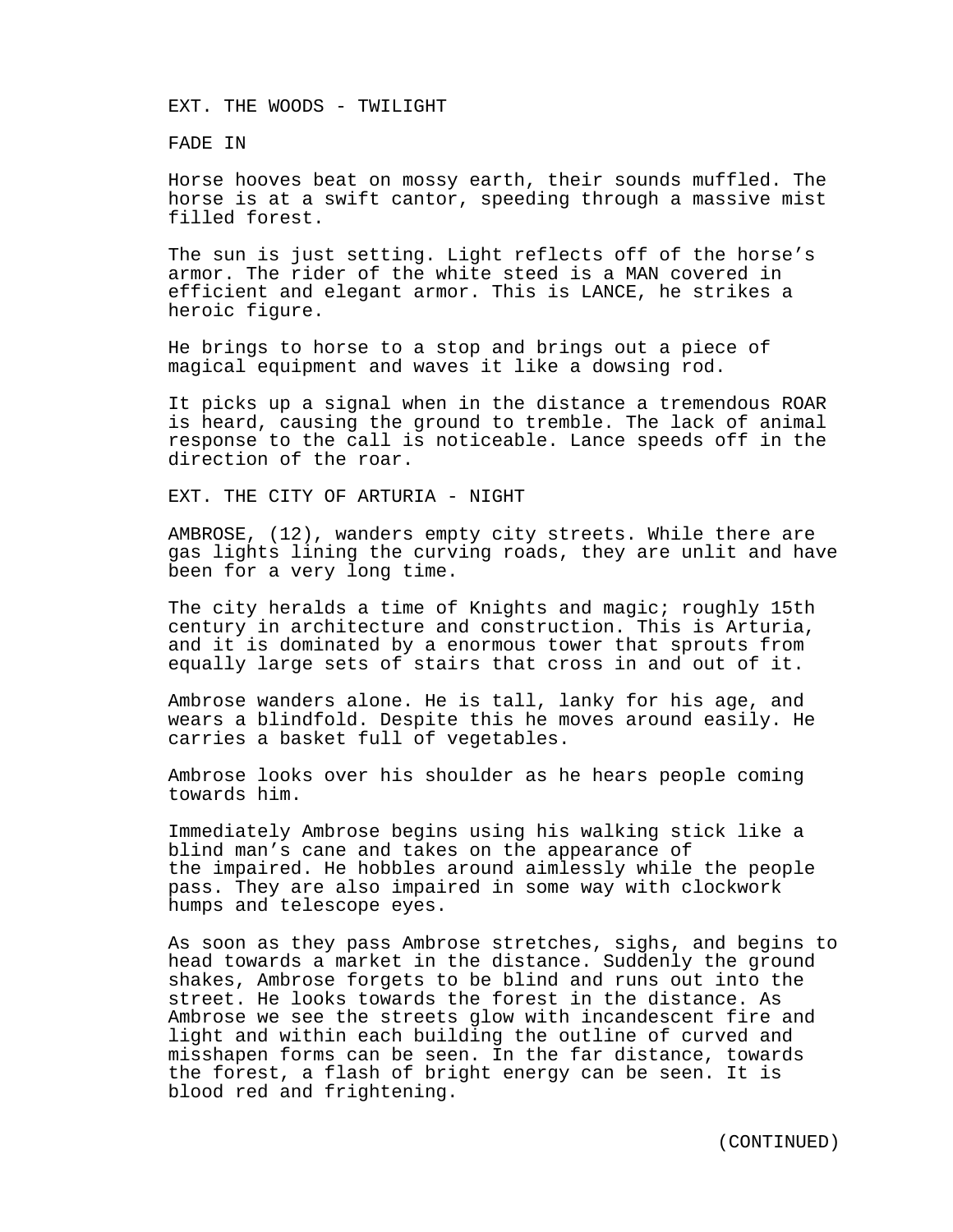EXT. THE WOODS - TWILIGHT

FADE IN

Horse hooves beat on mossy earth, their sounds muffled. The horse is at a swift cantor, speeding through a massive mist filled forest.

The sun is just setting. Light reflects off of the horse's armor. The rider of the white steed is a MAN covered in efficient and elegant armor. This is LANCE, he strikes a heroic figure.

He brings to horse to a stop and brings out a piece of magical equipment and waves it like a dowsing rod.

It picks up a signal when in the distance a tremendous ROAR is heard, causing the ground to tremble. The lack of animal response to the call is noticeable. Lance speeds off in the direction of the roar.

EXT. THE CITY OF ARTURIA - NIGHT

AMBROSE, (12), wanders empty city streets. While there are gas lights lining the curving roads, they are unlit and have been for a very long time.

The city heralds a time of Knights and magic; roughly 15th century in architecture and construction. This is Arturia, and it is dominated by a enormous tower that sprouts from equally large sets of stairs that cross in and out of it.

Ambrose wanders alone. He is tall, lanky for his age, and wears a blindfold. Despite this he moves around easily. He carries a basket full of vegetables.

Ambrose looks over his shoulder as he hears people coming towards him.

Immediately Ambrose begins using his walking stick like a blind man's cane and takes on the appearance of the impaired. He hobbles around aimlessly while the people pass. They are also impaired in some way with clockwork humps and telescope eyes.

As soon as they pass Ambrose stretches, sighs, and begins to head towards a market in the distance. Suddenly the ground shakes, Ambrose forgets to be blind and runs out into the street. He looks towards the forest in the distance. As Ambrose we see the streets glow with incandescent fire and light and within each building the outline of curved and misshapen forms can be seen. In the far distance, towards the forest, a flash of bright energy can be seen. It is blood red and frightening.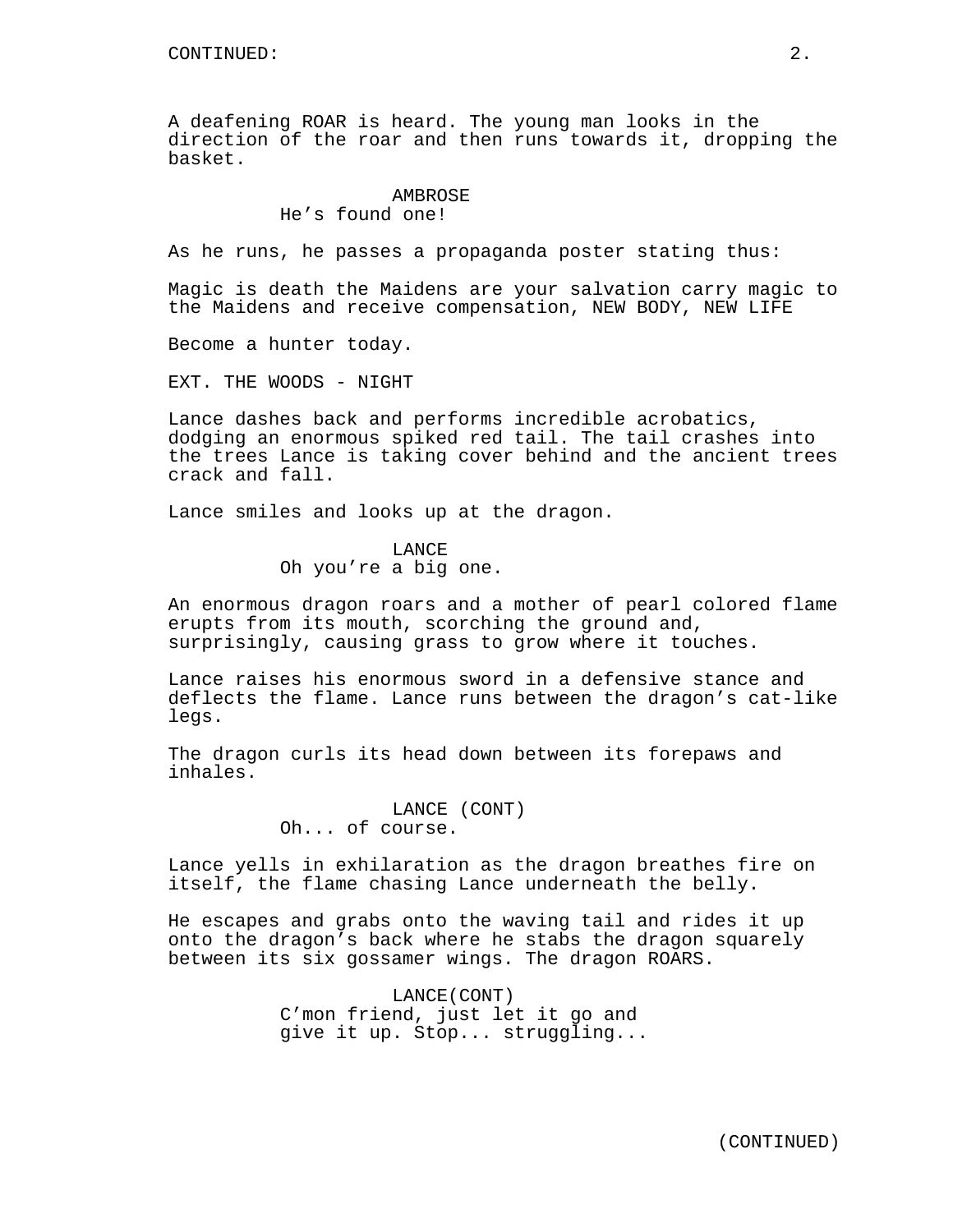A deafening ROAR is heard. The young man looks in the direction of the roar and then runs towards it, dropping the basket.

## AMBROSE

He's found one!

As he runs, he passes a propaganda poster stating thus:

Magic is death the Maidens are your salvation carry magic to the Maidens and receive compensation, NEW BODY, NEW LIFE

Become a hunter today.

EXT. THE WOODS - NIGHT

Lance dashes back and performs incredible acrobatics, dodging an enormous spiked red tail. The tail crashes into the trees Lance is taking cover behind and the ancient trees crack and fall.

Lance smiles and looks up at the dragon.

### LANCE

Oh you're a big one.

An enormous dragon roars and a mother of pearl colored flame erupts from its mouth, scorching the ground and, surprisingly, causing grass to grow where it touches.

Lance raises his enormous sword in a defensive stance and deflects the flame. Lance runs between the dragon's cat-like legs.

The dragon curls its head down between its forepaws and inhales.

> LANCE (CONT) Oh... of course.

Lance yells in exhilaration as the dragon breathes fire on itself, the flame chasing Lance underneath the belly.

He escapes and grabs onto the waving tail and rides it up onto the dragon's back where he stabs the dragon squarely between its six gossamer wings. The dragon ROARS.

> LANCE(CONT) C'mon friend, just let it go and give it up. Stop... struggling...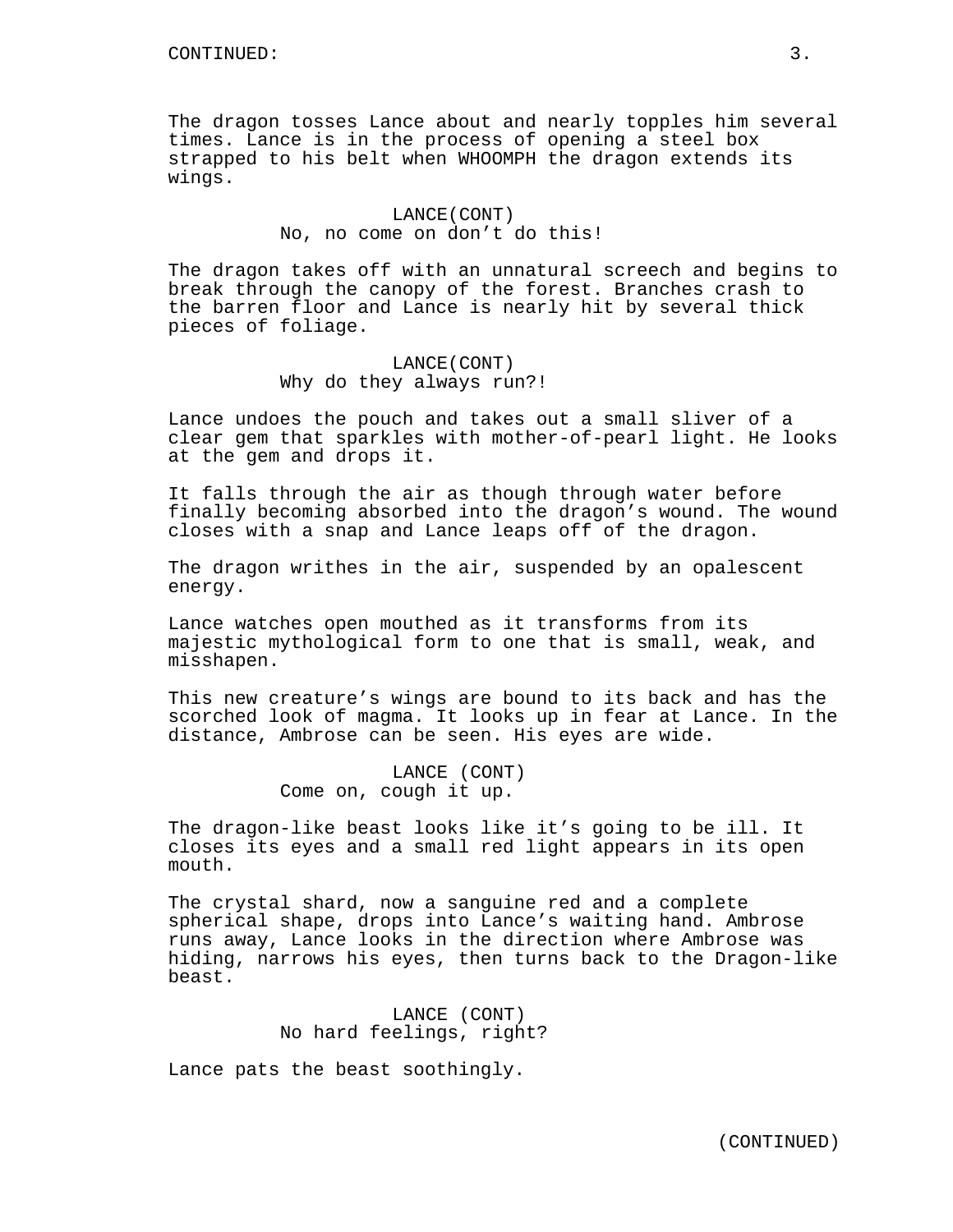The dragon tosses Lance about and nearly topples him several times. Lance is in the process of opening a steel box strapped to his belt when WHOOMPH the dragon extends its wings.

## LANCE(CONT) No, no come on don't do this!

The dragon takes off with an unnatural screech and begins to break through the canopy of the forest. Branches crash to the barren floor and Lance is nearly hit by several thick pieces of foliage.

## LANCE(CONT) Why do they always run?!

Lance undoes the pouch and takes out a small sliver of a clear gem that sparkles with mother-of-pearl light. He looks at the gem and drops it.

It falls through the air as though through water before finally becoming absorbed into the dragon's wound. The wound closes with a snap and Lance leaps off of the dragon.

The dragon writhes in the air, suspended by an opalescent energy.

Lance watches open mouthed as it transforms from its majestic mythological form to one that is small, weak, and misshapen.

This new creature's wings are bound to its back and has the scorched look of magma. It looks up in fear at Lance. In the distance, Ambrose can be seen. His eyes are wide.

> LANCE (CONT) Come on, cough it up.

The dragon-like beast looks like it's going to be ill. It closes its eyes and a small red light appears in its open mouth.

The crystal shard, now a sanguine red and a complete spherical shape, drops into Lance's waiting hand. Ambrose runs away, Lance looks in the direction where Ambrose was hiding, narrows his eyes, then turns back to the Dragon-like beast.

> LANCE (CONT) No hard feelings, right?

Lance pats the beast soothingly.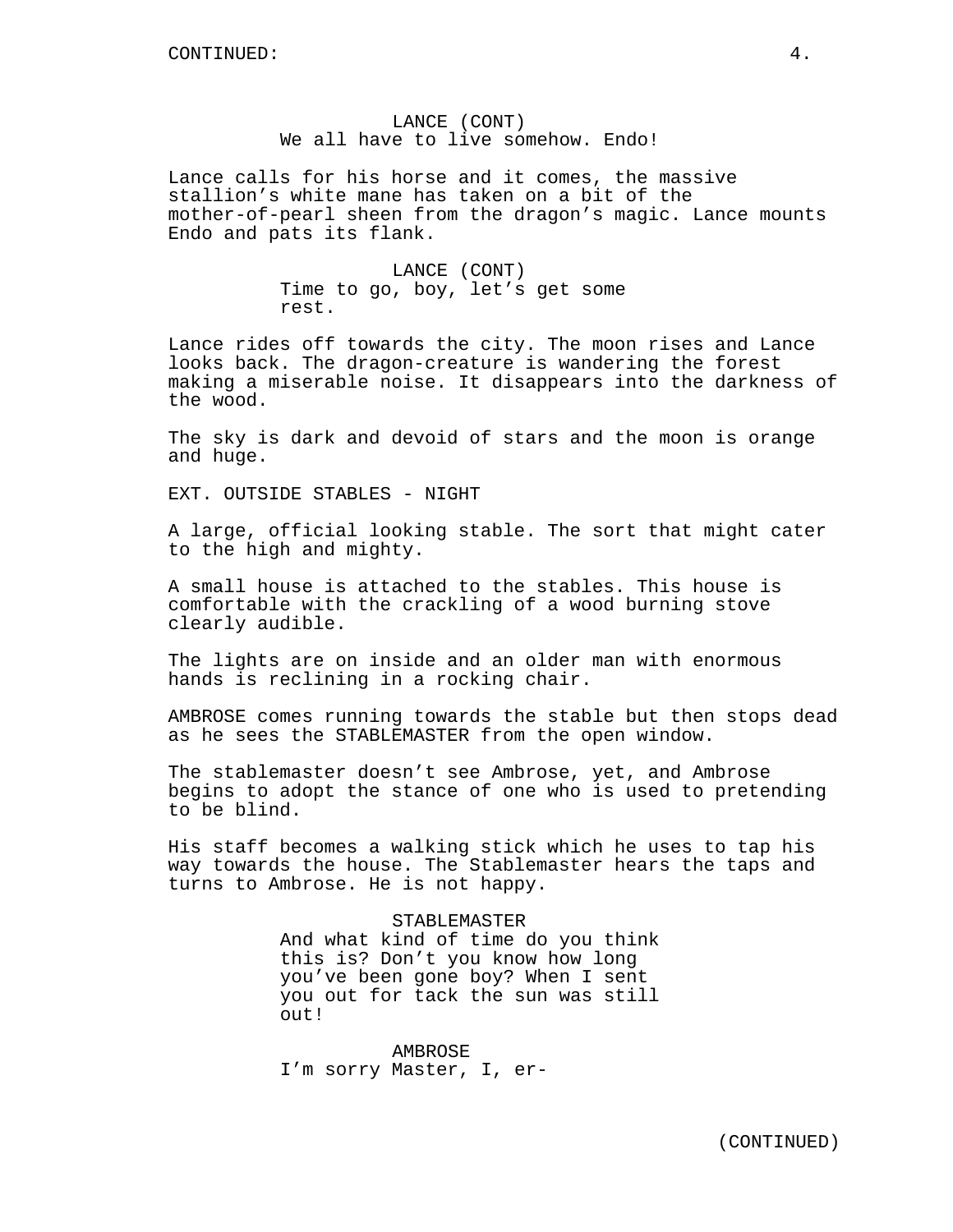And what kind of time do you think this is? Don't you know how long you've been gone boy? When I sent you out for tack the sun was still out!

STABLEMASTER

AMBROSE I'm sorry Master, I, er-

turns to Ambrose. He is not happy.

LANCE (CONT) We all have to live somehow. Endo!

Lance calls for his horse and it comes, the massive stallion's white mane has taken on a bit of the mother-of-pearl sheen from the dragon's magic. Lance mounts Endo and pats its flank.

> LANCE (CONT) Time to go, boy, let's get some rest.

Lance rides off towards the city. The moon rises and Lance looks back. The dragon-creature is wandering the forest making a miserable noise. It disappears into the darkness of the wood.

The sky is dark and devoid of stars and the moon is orange and huge.

EXT. OUTSIDE STABLES - NIGHT

A large, official looking stable. The sort that might cater to the high and mighty.

A small house is attached to the stables. This house is comfortable with the crackling of a wood burning stove clearly audible.

The lights are on inside and an older man with enormous hands is reclining in a rocking chair.

AMBROSE comes running towards the stable but then stops dead as he sees the STABLEMASTER from the open window.

The stablemaster doesn't see Ambrose, yet, and Ambrose begins to adopt the stance of one who is used to pretending to be blind.

His staff becomes a walking stick which he uses to tap his way towards the house. The Stablemaster hears the taps and

(CONTINUED)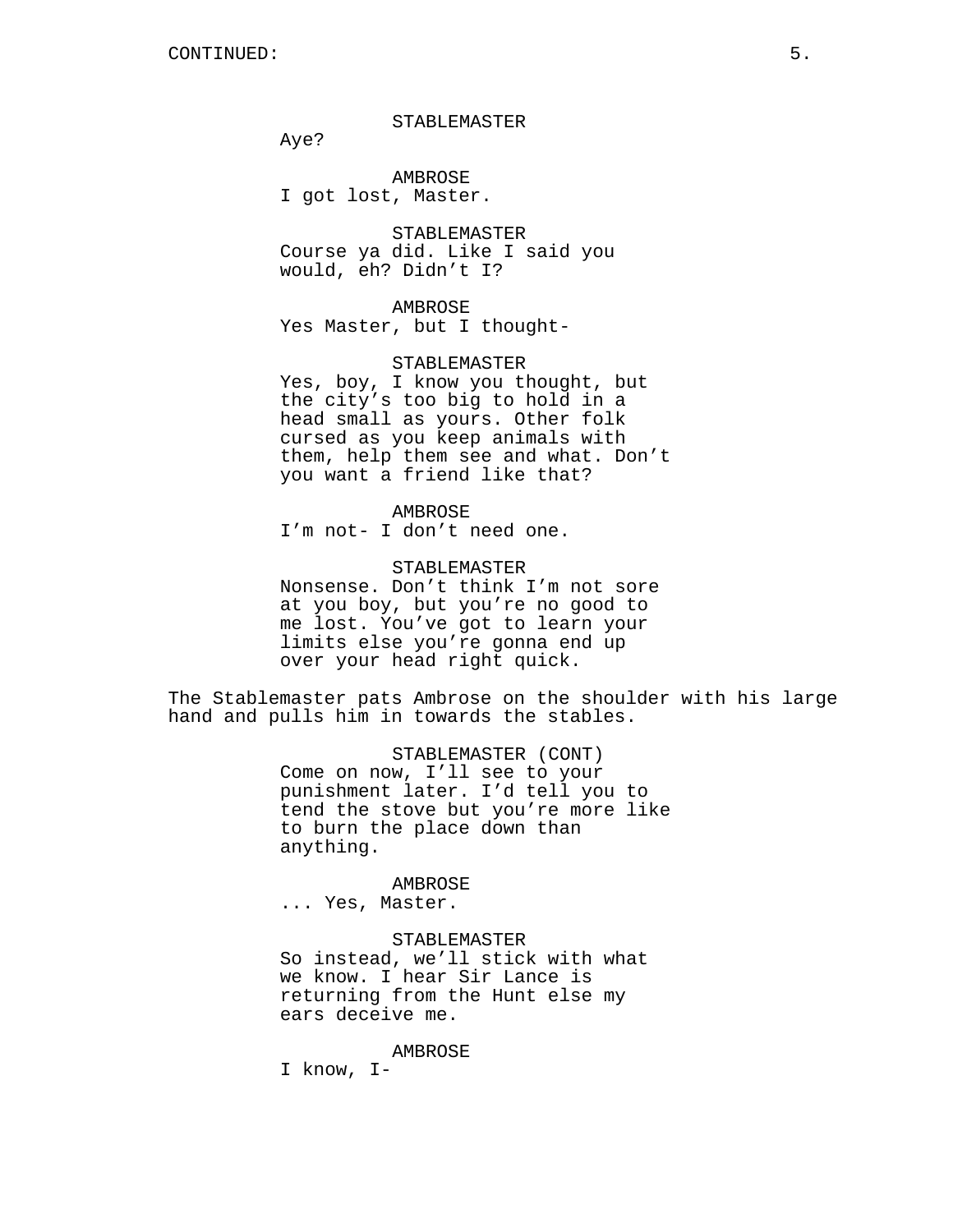### STABLEMASTER

Aye?

AMBROSE I got lost, Master.

STABLEMASTER Course ya did. Like I said you would, eh? Didn't I?

# AMBROSE

Yes Master, but I thought-

#### STABLEMASTER

Yes, boy, I know you thought, but the city's too big to hold in a head small as yours. Other folk cursed as you keep animals with them, help them see and what. Don't you want a friend like that?

## AMBROSE

I'm not- I don't need one.

## STABLEMASTER

Nonsense. Don't think I'm not sore at you boy, but you're no good to me lost. You've got to learn your limits else you're gonna end up over your head right quick.

The Stablemaster pats Ambrose on the shoulder with his large hand and pulls him in towards the stables.

> STABLEMASTER (CONT) Come on now, I'll see to your punishment later. I'd tell you to tend the stove but you're more like to burn the place down than anything.

#### AMBROSE

... Yes, Master.

## STABLEMASTER

So instead, we'll stick with what we know. I hear Sir Lance is returning from the Hunt else my ears deceive me.

### AMBROSE

I know, I-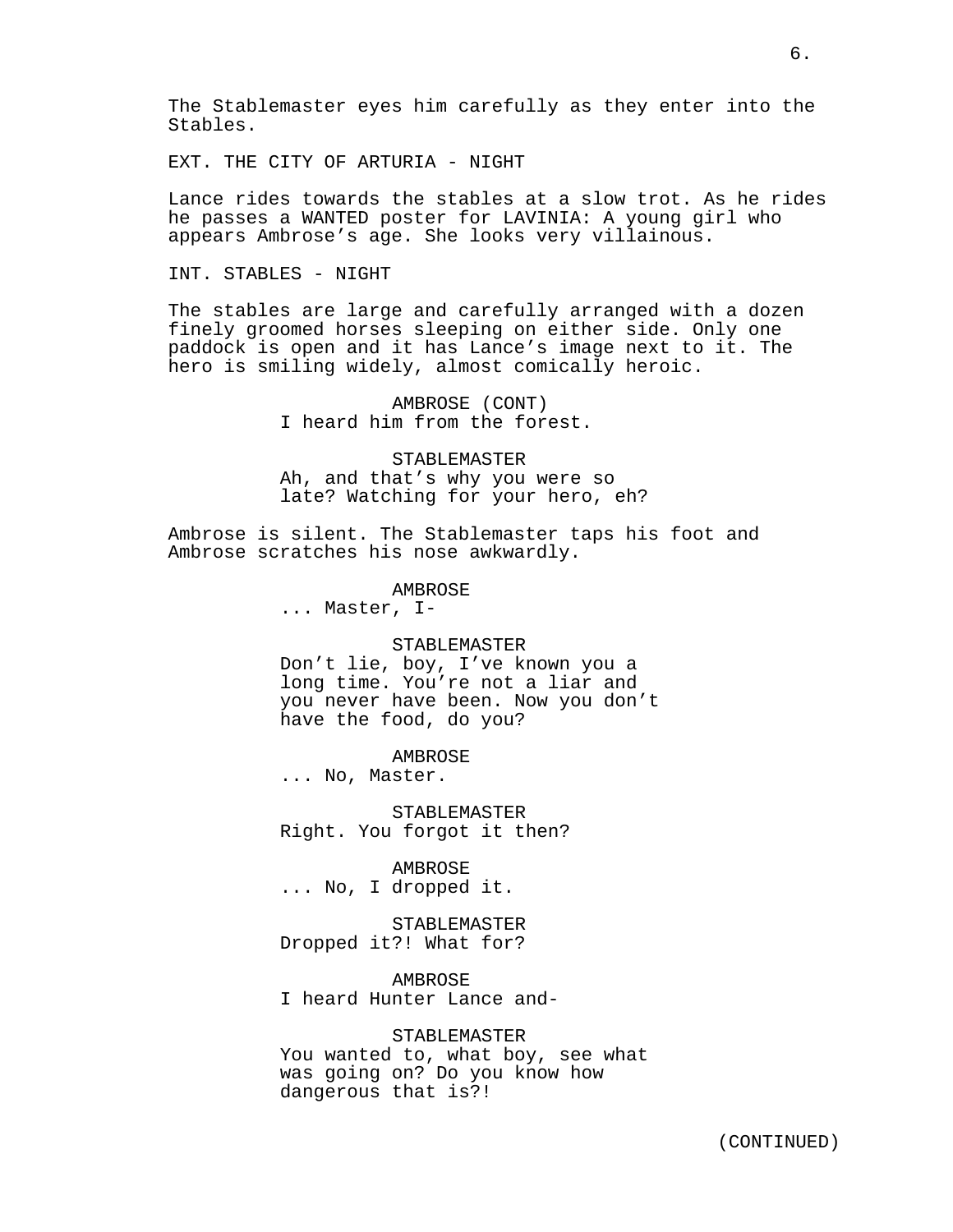The Stablemaster eyes him carefully as they enter into the Stables.

EXT. THE CITY OF ARTURIA - NIGHT

Lance rides towards the stables at a slow trot. As he rides he passes a WANTED poster for LAVINIA: A young girl who appears Ambrose's age. She looks very villainous.

INT. STABLES - NIGHT

The stables are large and carefully arranged with a dozen finely groomed horses sleeping on either side. Only one paddock is open and it has Lance's image next to it. The hero is smiling widely, almost comically heroic.

> AMBROSE (CONT) I heard him from the forest.

STABLEMASTER Ah, and that's why you were so late? Watching for your hero, eh?

Ambrose is silent. The Stablemaster taps his foot and Ambrose scratches his nose awkwardly.

AMBROSE

... Master, I-

### STABLEMASTER

Don't lie, boy, I've known you a long time. You're not a liar and you never have been. Now you don't have the food, do you?

**AMBROSE** 

... No, Master.

STABLEMASTER Right. You forgot it then?

AMBROSE ... No, I dropped it.

STABLEMASTER Dropped it?! What for?

AMBROSE I heard Hunter Lance and-

### STABLEMASTER

You wanted to, what boy, see what was going on? Do you know how dangerous that is?!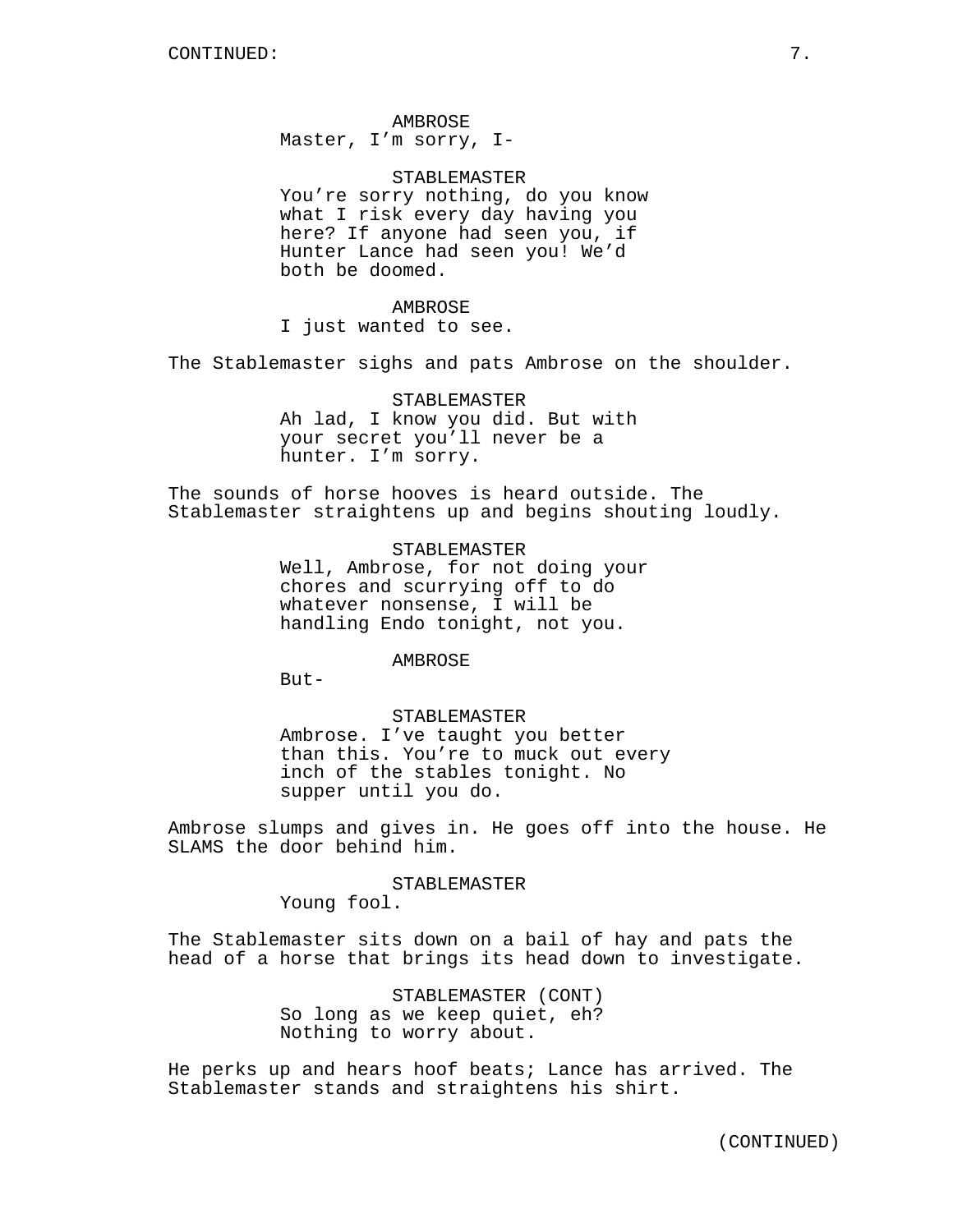AMBROSE Master, I'm sorry, I-

STABLEMASTER You're sorry nothing, do you know what I risk every day having you here? If anyone had seen you, if Hunter Lance had seen you! We'd both be doomed.

AMBROSE I just wanted to see.

The Stablemaster sighs and pats Ambrose on the shoulder.

STABLEMASTER Ah lad, I know you did. But with your secret you'll never be a hunter. I'm sorry.

The sounds of horse hooves is heard outside. The Stablemaster straightens up and begins shouting loudly.

> STABLEMASTER Well, Ambrose, for not doing your chores and scurrying off to do whatever nonsense, I will be handling Endo tonight, not you.

### AMBROSE

 $B$ ut-

#### STABLEMASTER

Ambrose. I've taught you better than this. You're to muck out every inch of the stables tonight. No supper until you do.

Ambrose slumps and gives in. He goes off into the house. He SLAMS the door behind him.

STABLEMASTER

Young fool.

The Stablemaster sits down on a bail of hay and pats the head of a horse that brings its head down to investigate.

> STABLEMASTER (CONT) So long as we keep quiet, eh? Nothing to worry about.

He perks up and hears hoof beats; Lance has arrived. The Stablemaster stands and straightens his shirt.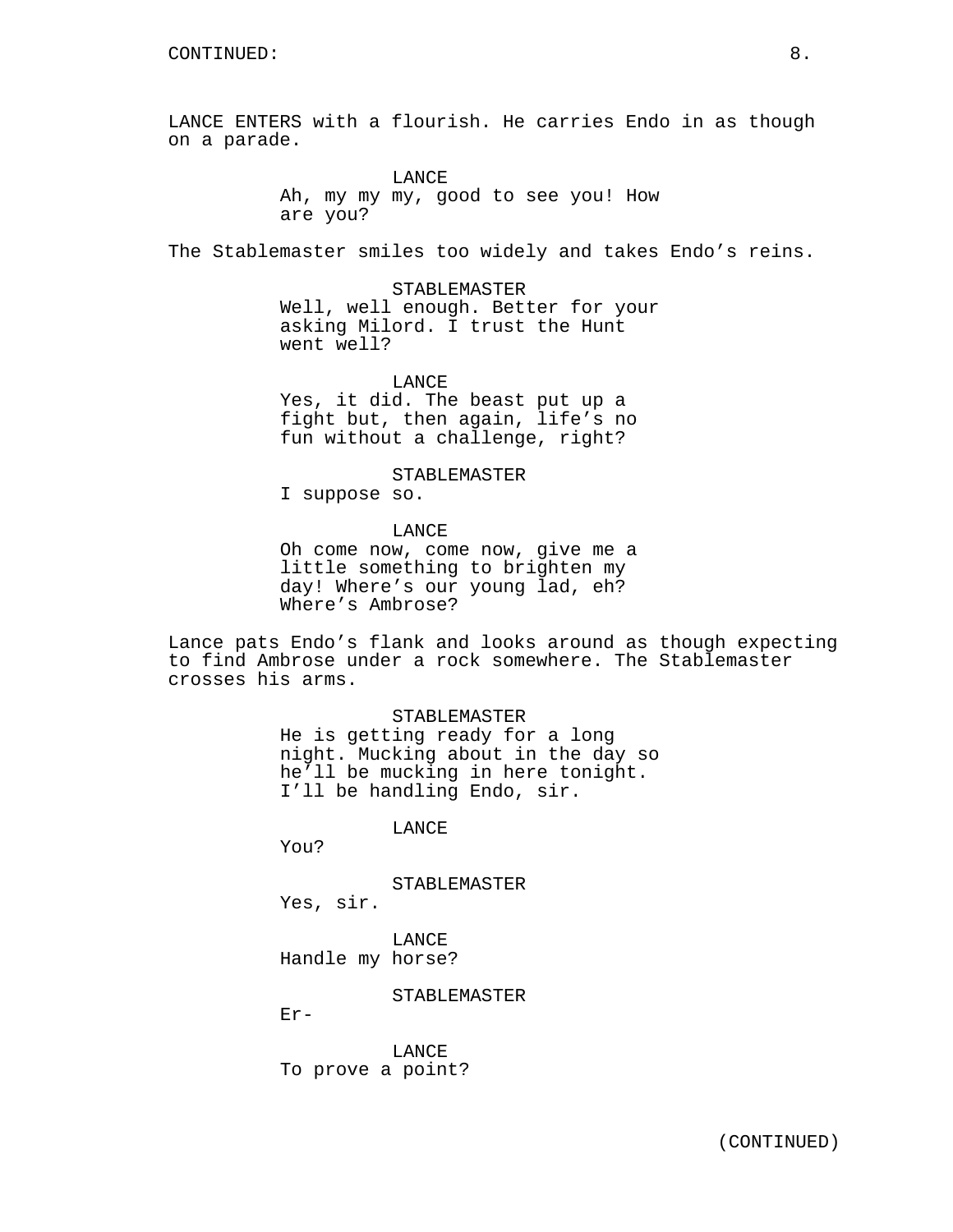LANCE ENTERS with a flourish. He carries Endo in as though on a parade.

**LANCE** 

Ah, my my my, good to see you! How are you?

The Stablemaster smiles too widely and takes Endo's reins.

STABLEMASTER Well, well enough. Better for your asking Milord. I trust the Hunt went well?

LANCE

Yes, it did. The beast put up a fight but, then again, life's no fun without a challenge, right?

STABLEMASTER

I suppose so.

LANCE

Oh come now, come now, give me a little something to brighten my day! Where's our young lad, eh? Where's Ambrose?

Lance pats Endo's flank and looks around as though expecting to find Ambrose under a rock somewhere. The Stablemaster crosses his arms.

STABLEMASTER

He is getting ready for a long night. Mucking about in the day so he'll be mucking in here tonight. I'll be handling Endo, sir.

LANCE

You?

STABLEMASTER

Yes, sir.

LANCE Handle my horse?

STABLEMASTER

Er-

LANCE To prove a point?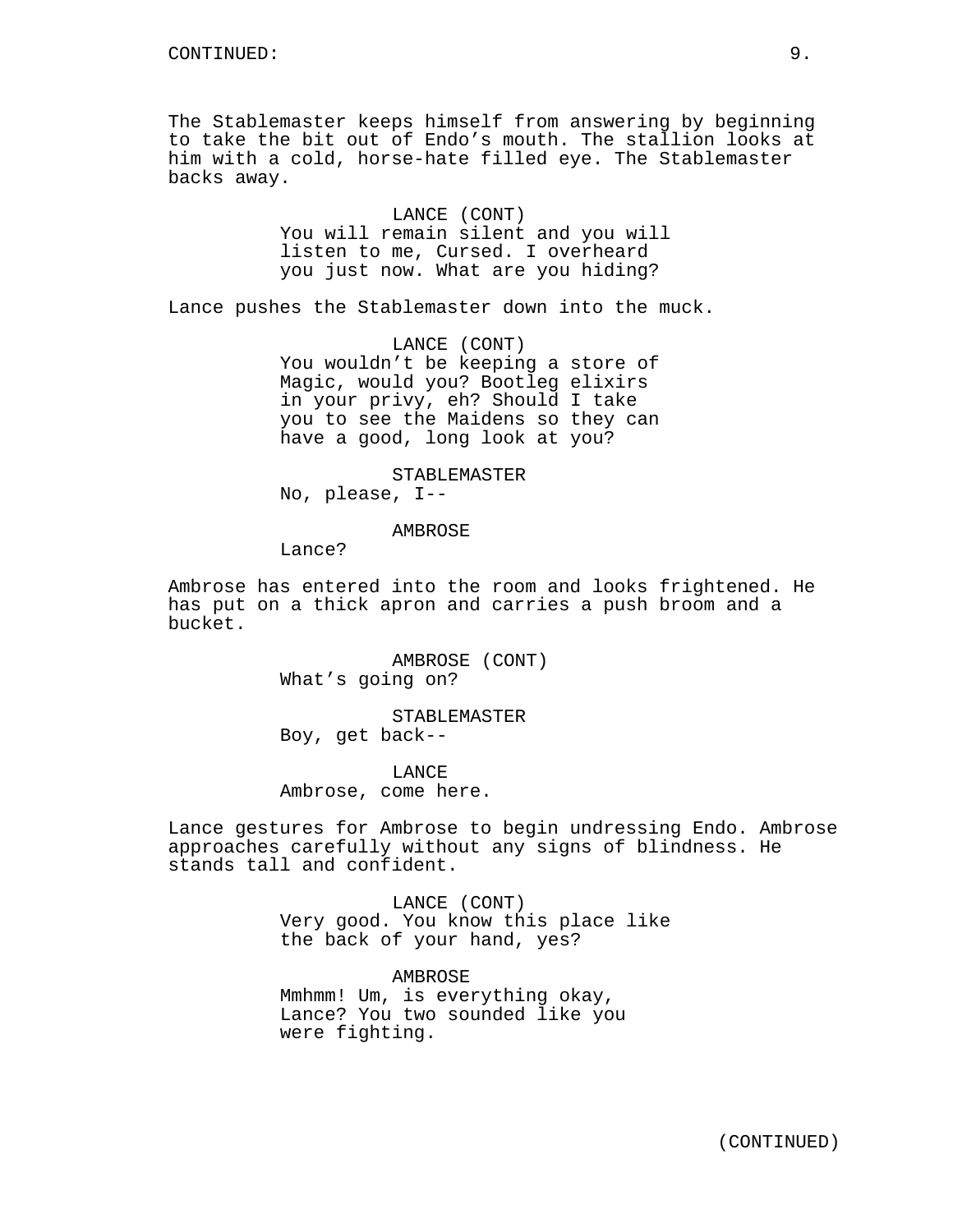The Stablemaster keeps himself from answering by beginning to take the bit out of Endo's mouth. The stallion looks at him with a cold, horse-hate filled eye. The Stablemaster backs away.

> LANCE (CONT) You will remain silent and you will listen to me, Cursed. I overheard you just now. What are you hiding?

Lance pushes the Stablemaster down into the muck.

LANCE (CONT) You wouldn't be keeping a store of Magic, would you? Bootleg elixirs in your privy, eh? Should I take you to see the Maidens so they can have a good, long look at you?

STABLEMASTER No, please, I--

**AMBROSE** 

Lance?

Ambrose has entered into the room and looks frightened. He has put on a thick apron and carries a push broom and a bucket.

> AMBROSE (CONT) What's going on?

STABLEMASTER Boy, get back--

LANCE Ambrose, come here.

Lance gestures for Ambrose to begin undressing Endo. Ambrose approaches carefully without any signs of blindness. He stands tall and confident.

> LANCE (CONT) Very good. You know this place like the back of your hand, yes?

AMBROSE Mmhmm! Um, is everything okay, Lance? You two sounded like you were fighting.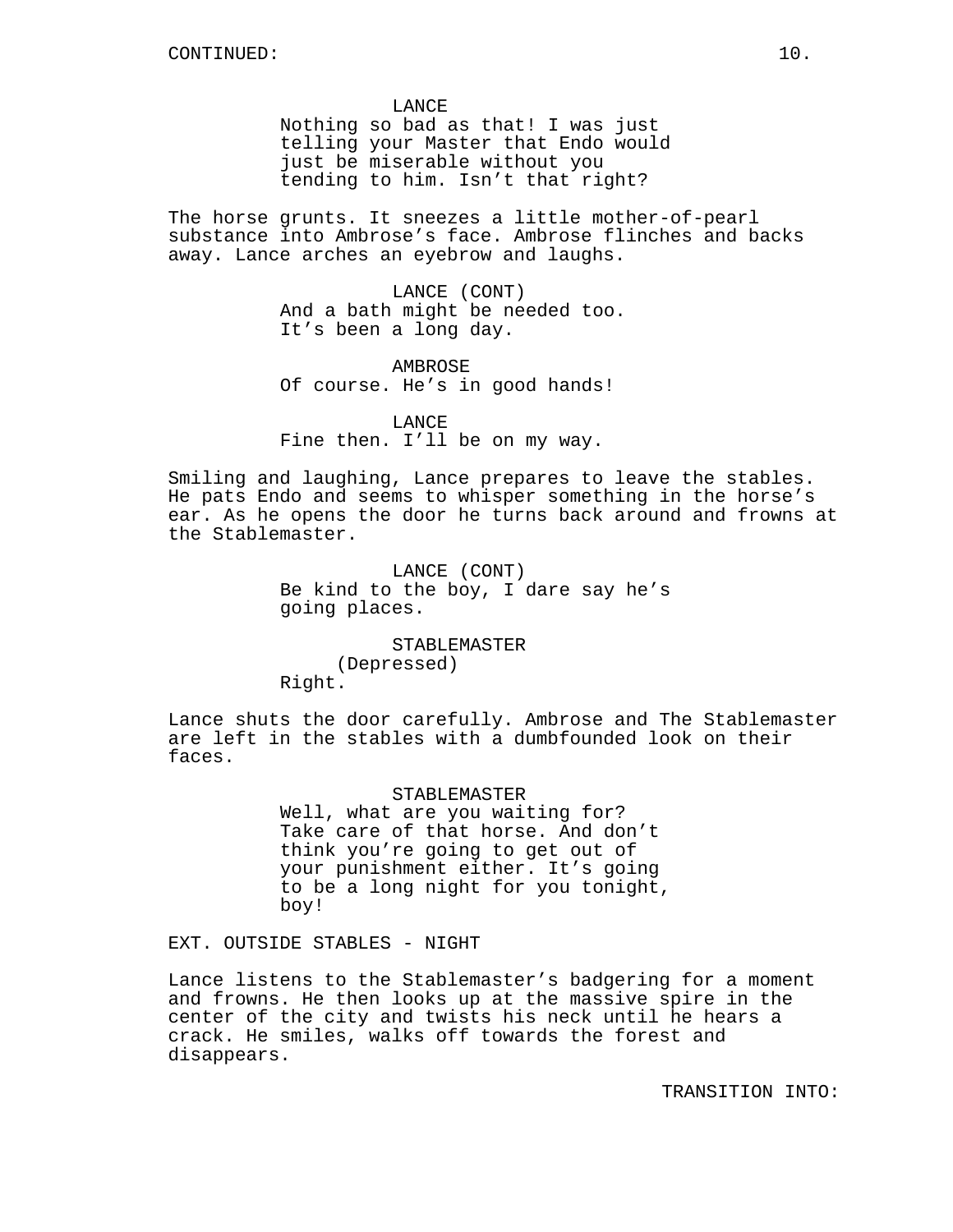**LANCE** 

Nothing so bad as that! I was just telling your Master that Endo would just be miserable without you tending to him. Isn't that right?

The horse grunts. It sneezes a little mother-of-pearl substance into Ambrose's face. Ambrose flinches and backs away. Lance arches an eyebrow and laughs.

> LANCE (CONT) And a bath might be needed too. It's been a long day.

**AMBROSE** Of course. He's in good hands!

LANCE Fine then. I'll be on my way.

Smiling and laughing, Lance prepares to leave the stables. He pats Endo and seems to whisper something in the horse's ear. As he opens the door he turns back around and frowns at the Stablemaster.

> LANCE (CONT) Be kind to the boy, I dare say he's going places.

STABLEMASTER (Depressed) Right.

Lance shuts the door carefully. Ambrose and The Stablemaster are left in the stables with a dumbfounded look on their faces.

### STABLEMASTER

Well, what are you waiting for? Take care of that horse. And don't think you're going to get out of your punishment either. It's going to be a long night for you tonight, boy!

EXT. OUTSIDE STABLES - NIGHT

Lance listens to the Stablemaster's badgering for a moment and frowns. He then looks up at the massive spire in the center of the city and twists his neck until he hears a crack. He smiles, walks off towards the forest and disappears.

TRANSITION INTO: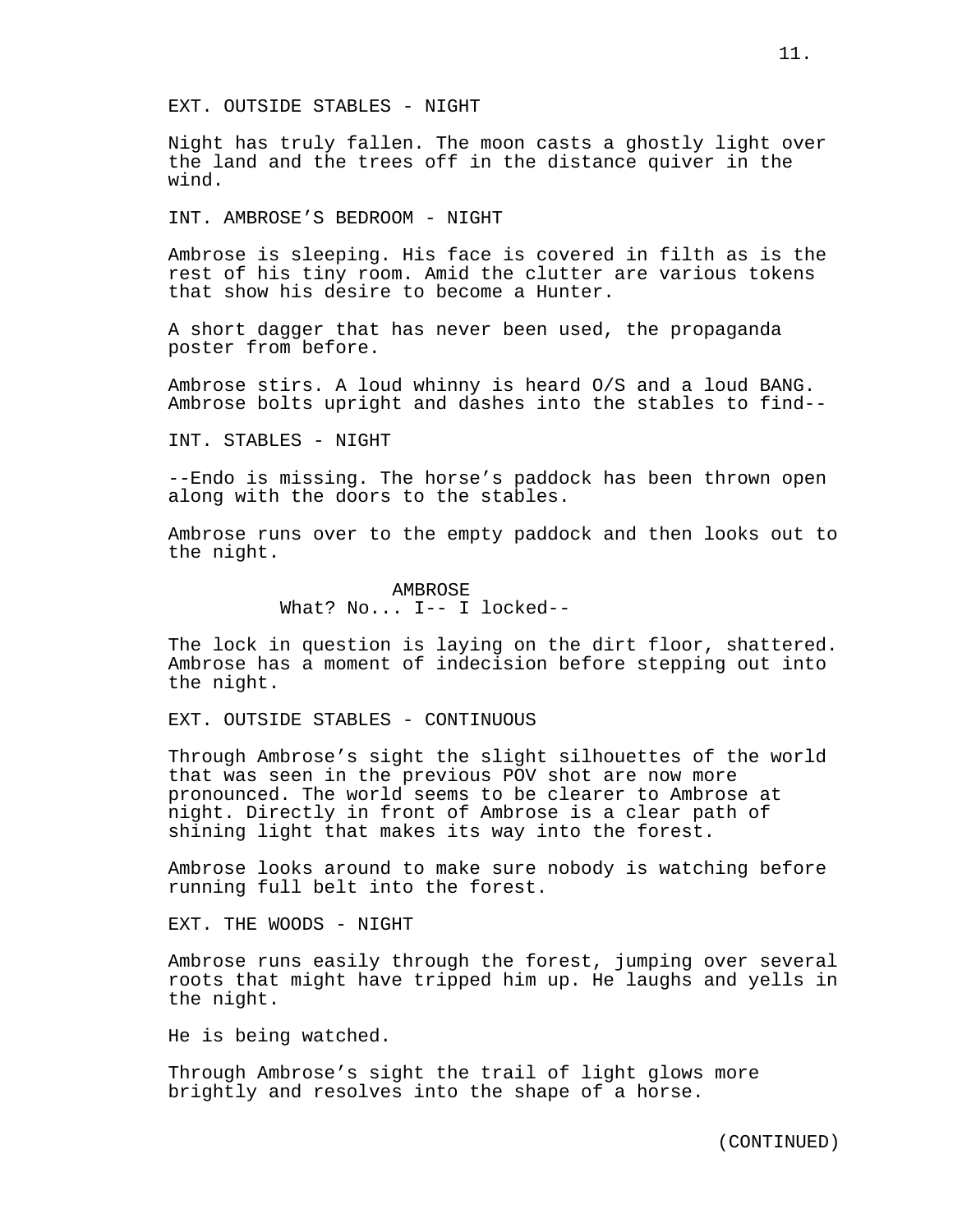EXT. OUTSIDE STABLES - NIGHT

Night has truly fallen. The moon casts a ghostly light over the land and the trees off in the distance quiver in the wind.

INT. AMBROSE'S BEDROOM - NIGHT

Ambrose is sleeping. His face is covered in filth as is the rest of his tiny room. Amid the clutter are various tokens that show his desire to become a Hunter.

A short dagger that has never been used, the propaganda poster from before.

Ambrose stirs. A loud whinny is heard O/S and a loud BANG. Ambrose bolts upright and dashes into the stables to find--

INT. STABLES - NIGHT

--Endo is missing. The horse's paddock has been thrown open along with the doors to the stables.

Ambrose runs over to the empty paddock and then looks out to the night.

> AMBROSE What? No... I-- I locked--

The lock in question is laying on the dirt floor, shattered. Ambrose has a moment of indecision before stepping out into the night.

EXT. OUTSIDE STABLES - CONTINUOUS

Through Ambrose's sight the slight silhouettes of the world that was seen in the previous POV shot are now more pronounced. The world seems to be clearer to Ambrose at night. Directly in front of Ambrose is a clear path of shining light that makes its way into the forest.

Ambrose looks around to make sure nobody is watching before running full belt into the forest.

EXT. THE WOODS - NIGHT

Ambrose runs easily through the forest, jumping over several roots that might have tripped him up. He laughs and yells in the night.

He is being watched.

Through Ambrose's sight the trail of light glows more brightly and resolves into the shape of a horse.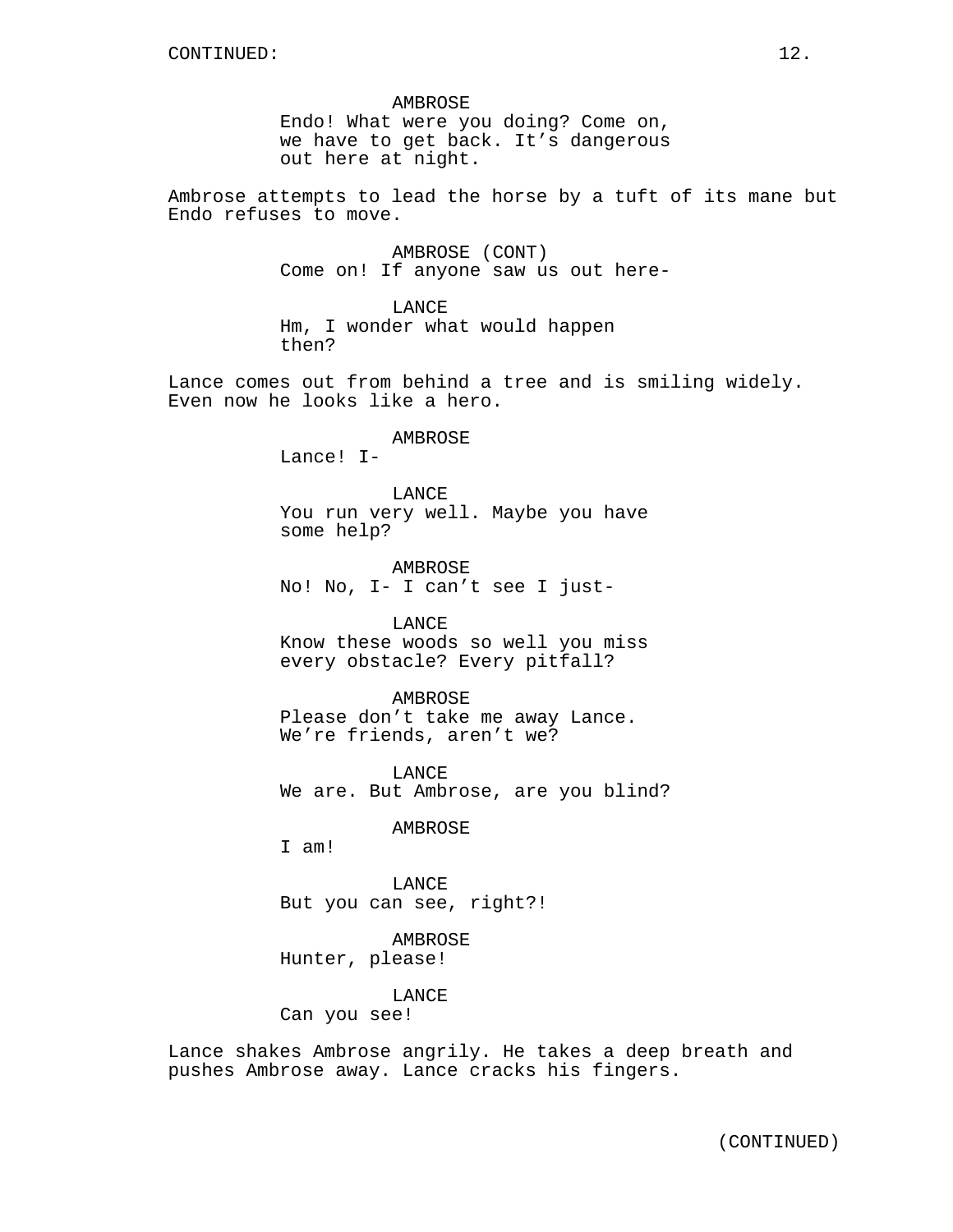AMBROSE Endo! What were you doing? Come on, we have to get back. It's dangerous out here at night.

Ambrose attempts to lead the horse by a tuft of its mane but Endo refuses to move.

> AMBROSE (CONT) Come on! If anyone saw us out here-

LANCE Hm, I wonder what would happen then?

Lance comes out from behind a tree and is smiling widely. Even now he looks like a hero.

AMBROSE

Lance! I-

LANCE. You run very well. Maybe you have some help?

AMBROSE No! No, I- I can't see I just-

LANCE Know these woods so well you miss every obstacle? Every pitfall?

AMBROSE Please don't take me away Lance. We're friends, aren't we?

LANCE We are. But Ambrose, are you blind?

AMBROSE

I am!

LANCE But you can see, right?!

AMBROSE Hunter, please!

LANCE

Can you see!

Lance shakes Ambrose angrily. He takes a deep breath and pushes Ambrose away. Lance cracks his fingers.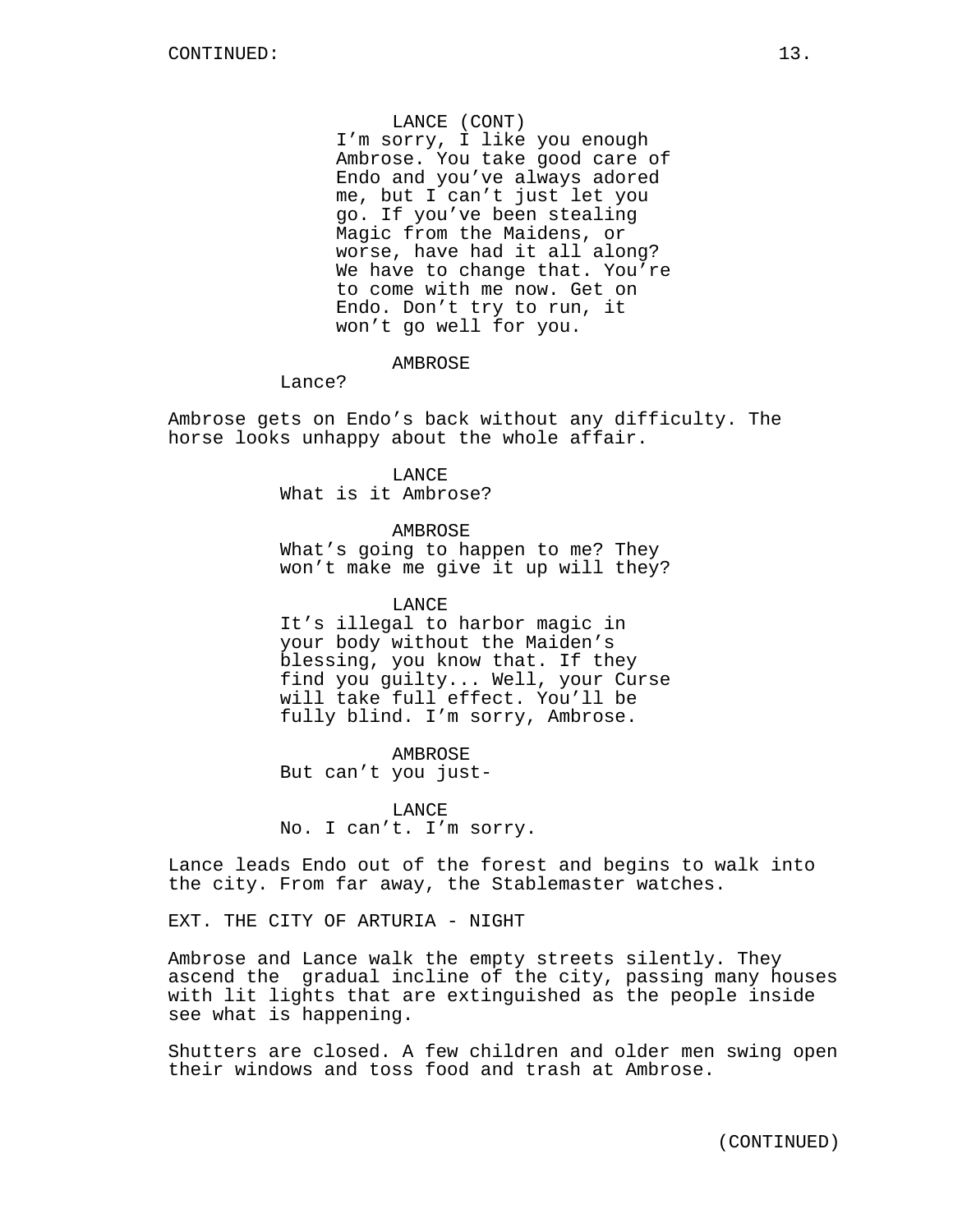LANCE (CONT) I'm sorry, I like you enough Ambrose. You take good care of Endo and you've always adored me, but I can't just let you go. If you've been stealing Magic from the Maidens, or worse, have had it all along? We have to change that. You're to come with me now. Get on Endo. Don't try to run, it won't go well for you.

AMBROSE

Lance?

Ambrose gets on Endo's back without any difficulty. The horse looks unhappy about the whole affair.

> LANCE What is it Ambrose?

> > **AMBROSE**

What's going to happen to me? They won't make me give it up will they?

LANCE It's illegal to harbor magic in your body without the Maiden's blessing, you know that. If they find you guilty... Well, your Curse will take full effect. You'll be fully blind. I'm sorry, Ambrose.

AMBROSE But can't you just-

**LANCE** No. I can't. I'm sorry.

Lance leads Endo out of the forest and begins to walk into the city. From far away, the Stablemaster watches.

EXT. THE CITY OF ARTURIA - NIGHT

Ambrose and Lance walk the empty streets silently. They ascend the gradual incline of the city, passing many houses with lit lights that are extinguished as the people inside see what is happening.

Shutters are closed. A few children and older men swing open their windows and toss food and trash at Ambrose.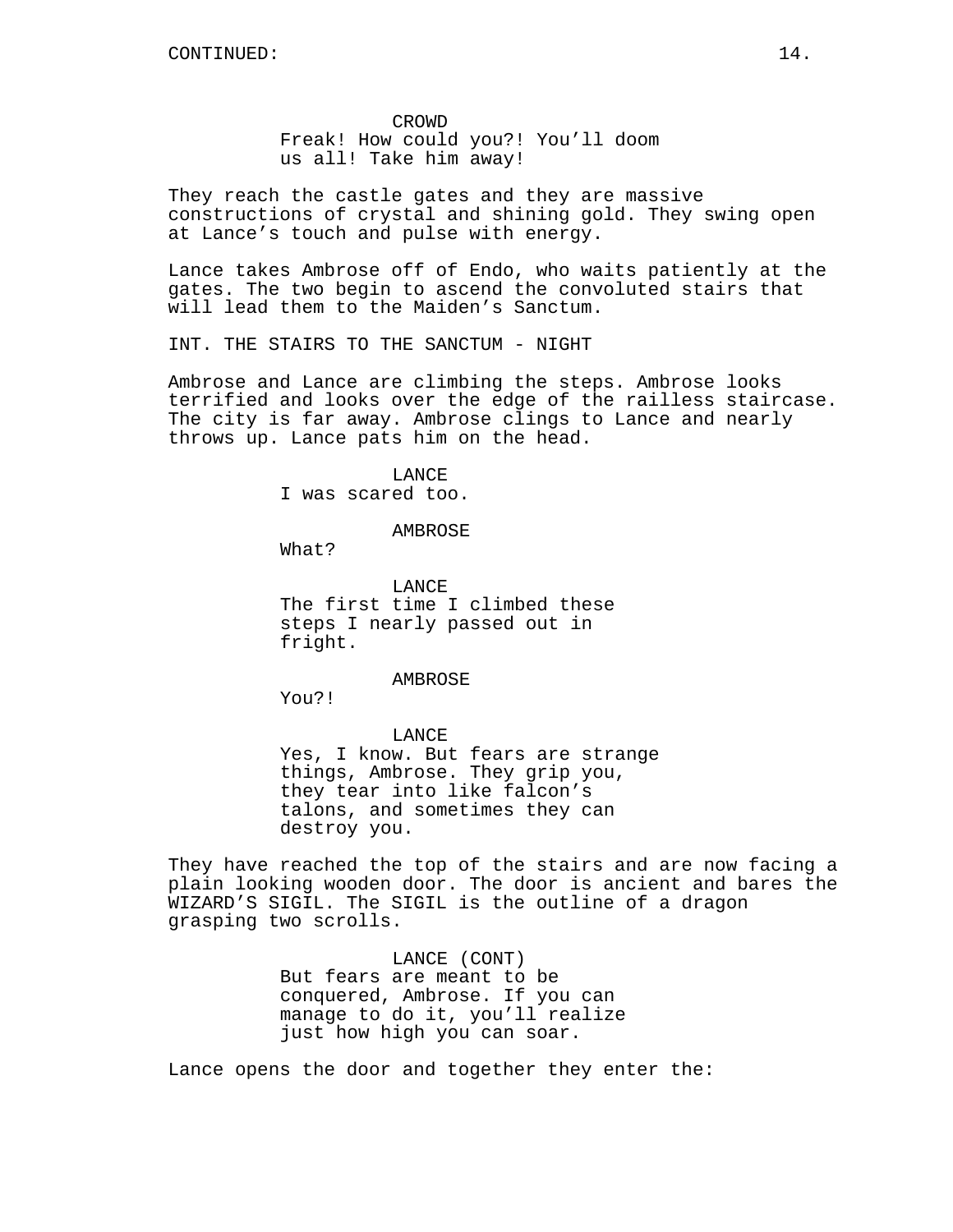CROWD Freak! How could you?! You'll doom us all! Take him away!

They reach the castle gates and they are massive constructions of crystal and shining gold. They swing open at Lance's touch and pulse with energy.

Lance takes Ambrose off of Endo, who waits patiently at the gates. The two begin to ascend the convoluted stairs that will lead them to the Maiden's Sanctum.

INT. THE STAIRS TO THE SANCTUM - NIGHT

Ambrose and Lance are climbing the steps. Ambrose looks terrified and looks over the edge of the railless staircase. The city is far away. Ambrose clings to Lance and nearly throws up. Lance pats him on the head.

> **LANCE** I was scared too.

> > AMBROSE

What?

**LANCE** The first time I climbed these steps I nearly passed out in fright.

AMBROSE

You?!

LANCE Yes, I know. But fears are strange things, Ambrose. They grip you, they tear into like falcon's talons, and sometimes they can destroy you.

They have reached the top of the stairs and are now facing a plain looking wooden door. The door is ancient and bares the WIZARD'S SIGIL. The SIGIL is the outline of a dragon grasping two scrolls.

> LANCE (CONT) But fears are meant to be conquered, Ambrose. If you can manage to do it, you'll realize just how high you can soar.

Lance opens the door and together they enter the: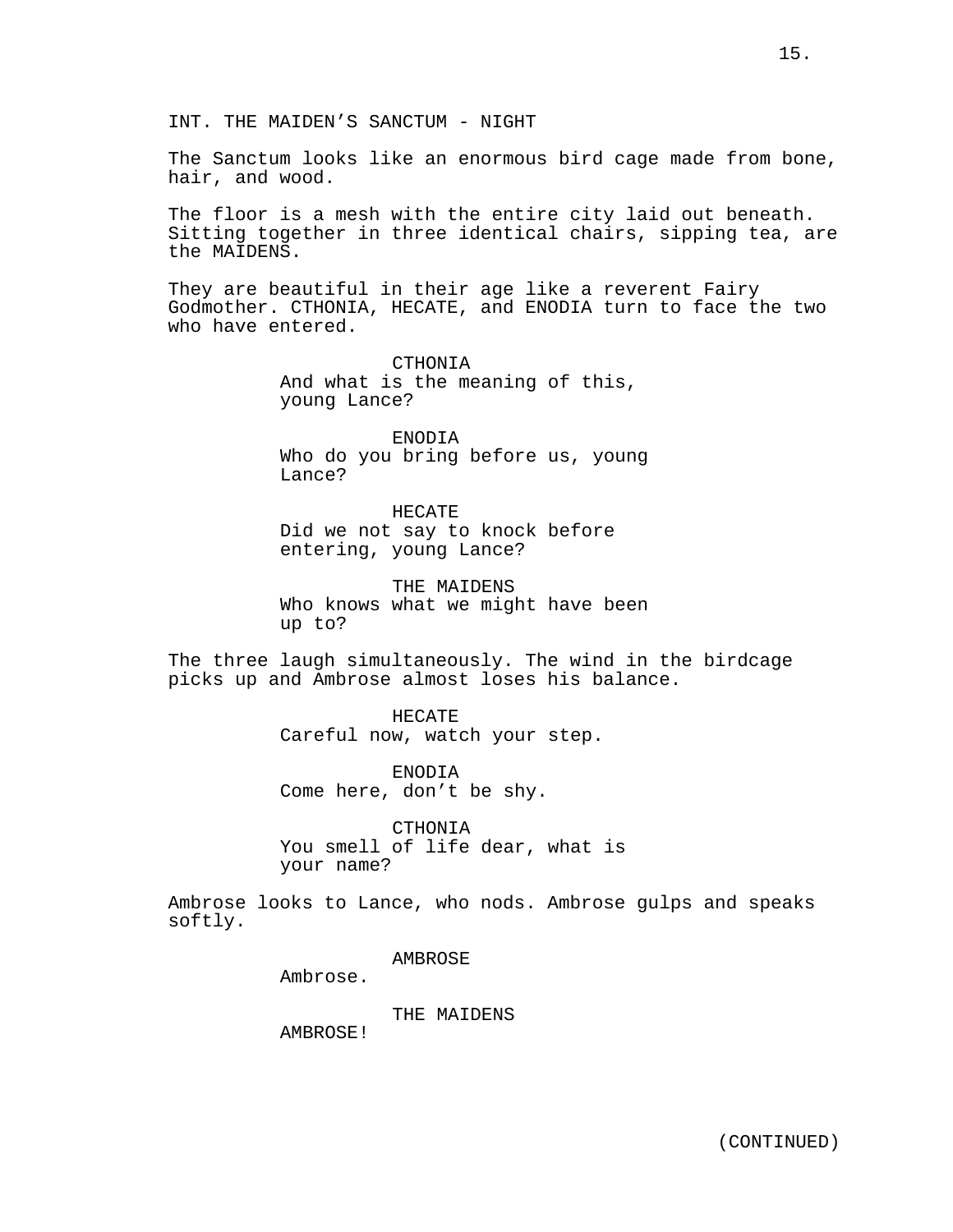INT. THE MAIDEN'S SANCTUM - NIGHT

The Sanctum looks like an enormous bird cage made from bone, hair, and wood.

The floor is a mesh with the entire city laid out beneath. Sitting together in three identical chairs, sipping tea, are the MAIDENS.

They are beautiful in their age like a reverent Fairy Godmother. CTHONIA, HECATE, and ENODIA turn to face the two who have entered.

> CTHONIA And what is the meaning of this, young Lance?

ENODIA Who do you bring before us, young Lance?

HECATE Did we not say to knock before entering, young Lance?

THE MAIDENS Who knows what we might have been up to?

The three laugh simultaneously. The wind in the birdcage picks up and Ambrose almost loses his balance.

> HECATE Careful now, watch your step.

ENODIA Come here, don't be shy.

CTHONIA You smell of life dear, what is your name?

Ambrose looks to Lance, who nods. Ambrose gulps and speaks softly.

AMBROSE

Ambrose.

THE MAIDENS

AMBROSE!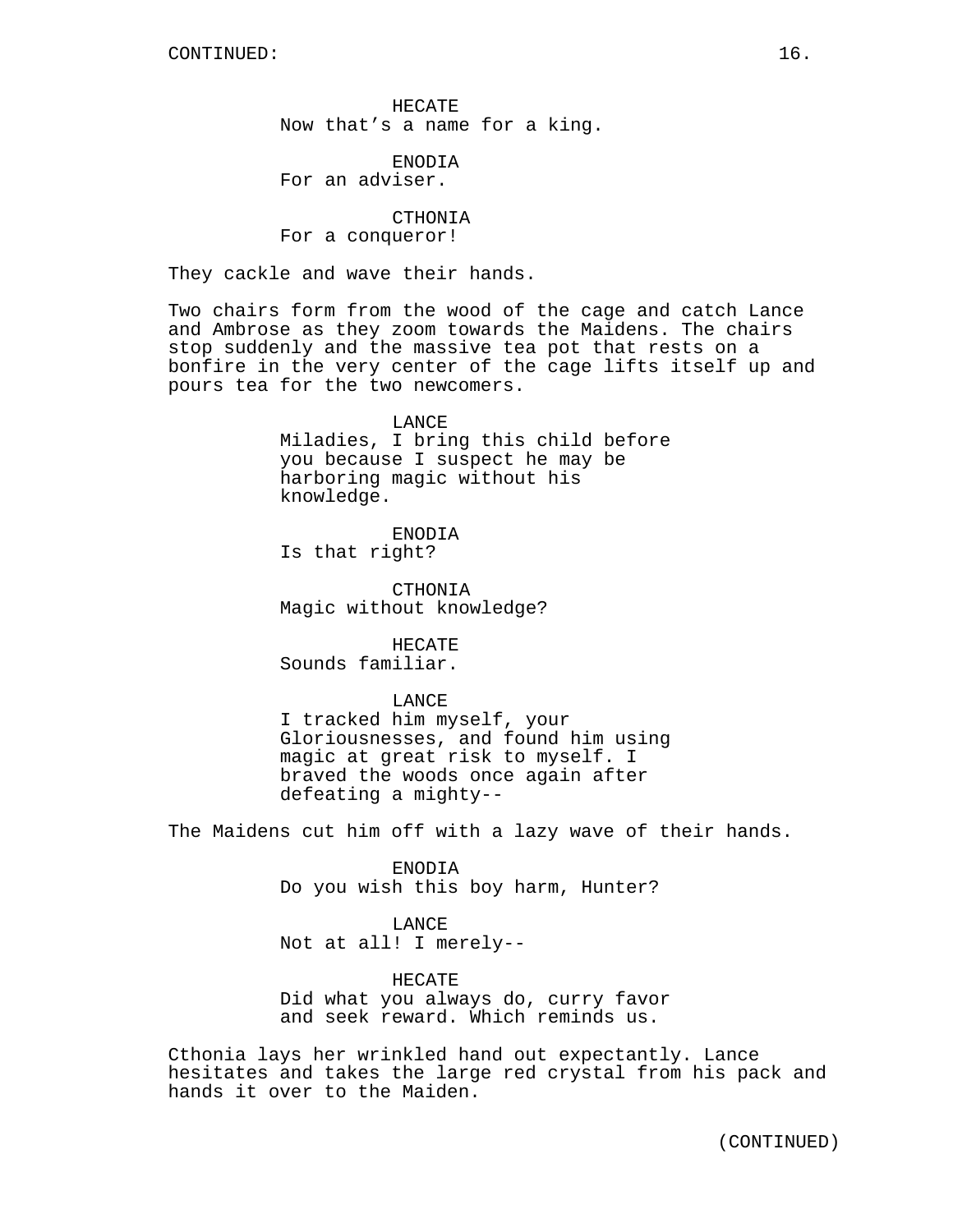HECATE Now that's a name for a king.

ENODIA For an adviser.

CTHONIA For a conqueror!

They cackle and wave their hands.

Two chairs form from the wood of the cage and catch Lance and Ambrose as they zoom towards the Maidens. The chairs stop suddenly and the massive tea pot that rests on a bonfire in the very center of the cage lifts itself up and pours tea for the two newcomers.

> **LANCE** Miladies, I bring this child before you because I suspect he may be harboring magic without his knowledge.

ENODIA Is that right?

CTHONIA Magic without knowledge?

HECATE Sounds familiar.

LANCE

I tracked him myself, your Gloriousnesses, and found him using magic at great risk to myself. I braved the woods once again after defeating a mighty--

The Maidens cut him off with a lazy wave of their hands.

ENODIA Do you wish this boy harm, Hunter?

LANCE Not at all! I merely--

HECATE Did what you always do, curry favor and seek reward. Which reminds us.

Cthonia lays her wrinkled hand out expectantly. Lance hesitates and takes the large red crystal from his pack and hands it over to the Maiden.

(CONTINUED)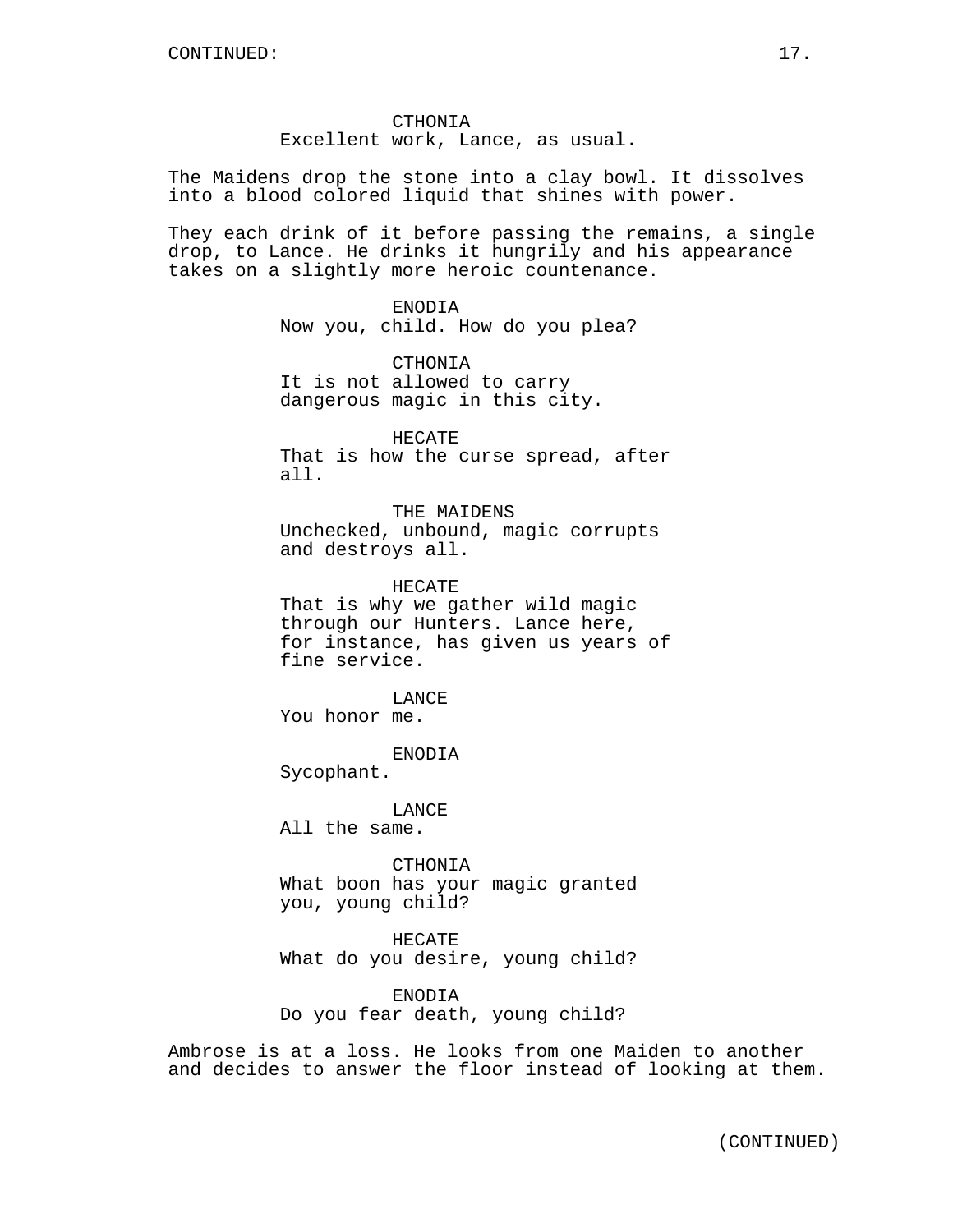CTHONIA Excellent work, Lance, as usual.

The Maidens drop the stone into a clay bowl. It dissolves into a blood colored liquid that shines with power.

They each drink of it before passing the remains, a single drop, to Lance. He drinks it hungrily and his appearance takes on a slightly more heroic countenance.

> ENODIA Now you, child. How do you plea?

CTHONIA It is not allowed to carry dangerous magic in this city.

HECATE That is how the curse spread, after all.

THE MAIDENS Unchecked, unbound, magic corrupts and destroys all.

HECATE That is why we gather wild magic through our Hunters. Lance here,

for instance, has given us years of fine service.

LANCE You honor me.

ENODIA Sycophant.

LANCE All the same.

CTHONIA What boon has your magic granted you, young child?

HECATE What do you desire, young child?

ENODIA Do you fear death, young child?

Ambrose is at a loss. He looks from one Maiden to another and decides to answer the floor instead of looking at them.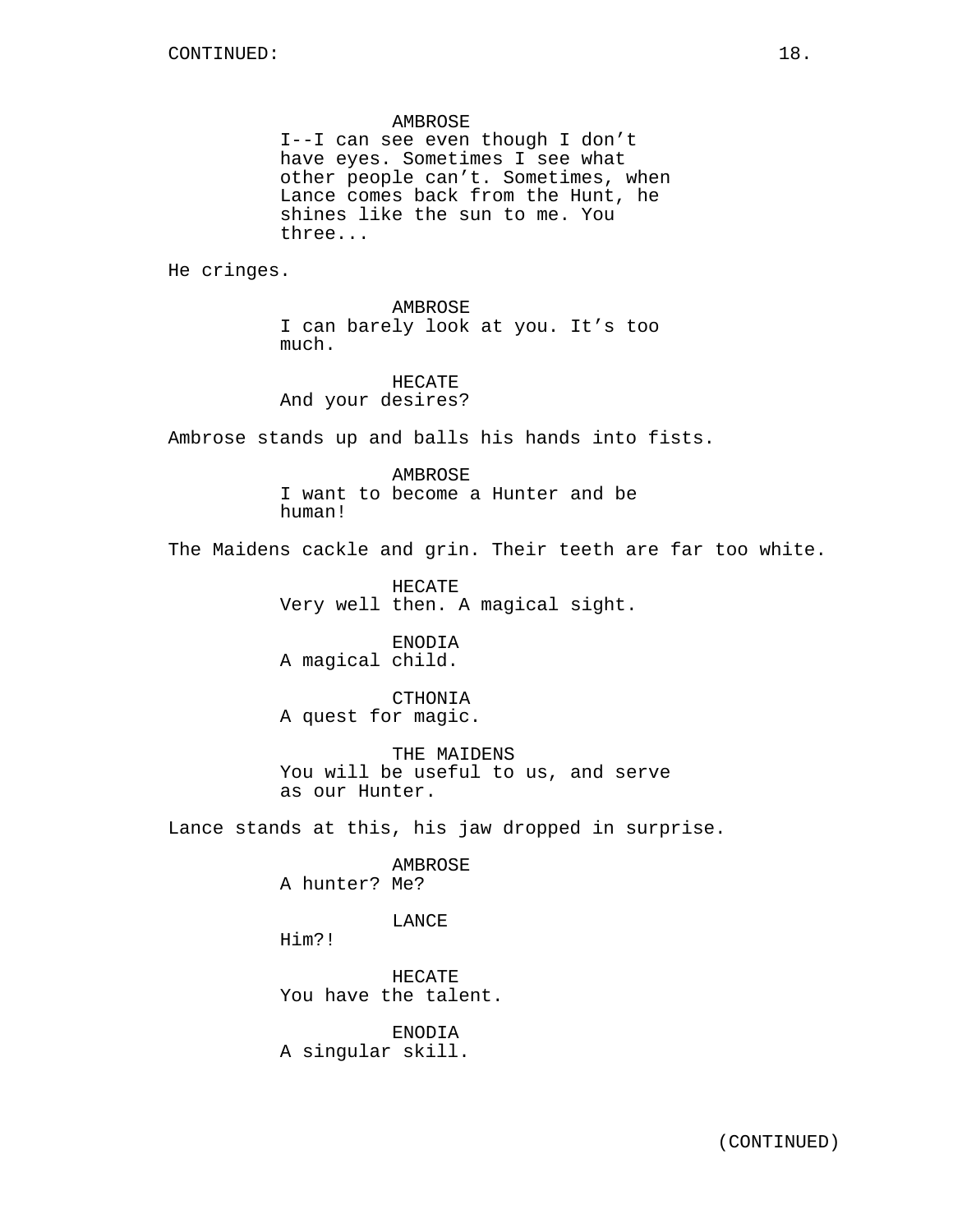### AMBROSE

I--I can see even though I don't have eyes. Sometimes I see what other people can't. Sometimes, when Lance comes back from the Hunt, he shines like the sun to me. You three...

He cringes.

AMBROSE I can barely look at you. It's too much.

HECATE And your desires?

Ambrose stands up and balls his hands into fists.

AMBROSE I want to become a Hunter and be human!

The Maidens cackle and grin. Their teeth are far too white.

HECATE Very well then. A magical sight.

ENODIA A magical child.

CTHONIA A quest for magic.

THE MAIDENS You will be useful to us, and serve as our Hunter.

Lance stands at this, his jaw dropped in surprise.

AMBROSE A hunter? Me?

LANCE

Him?!

HECATE You have the talent.

ENODIA A singular skill.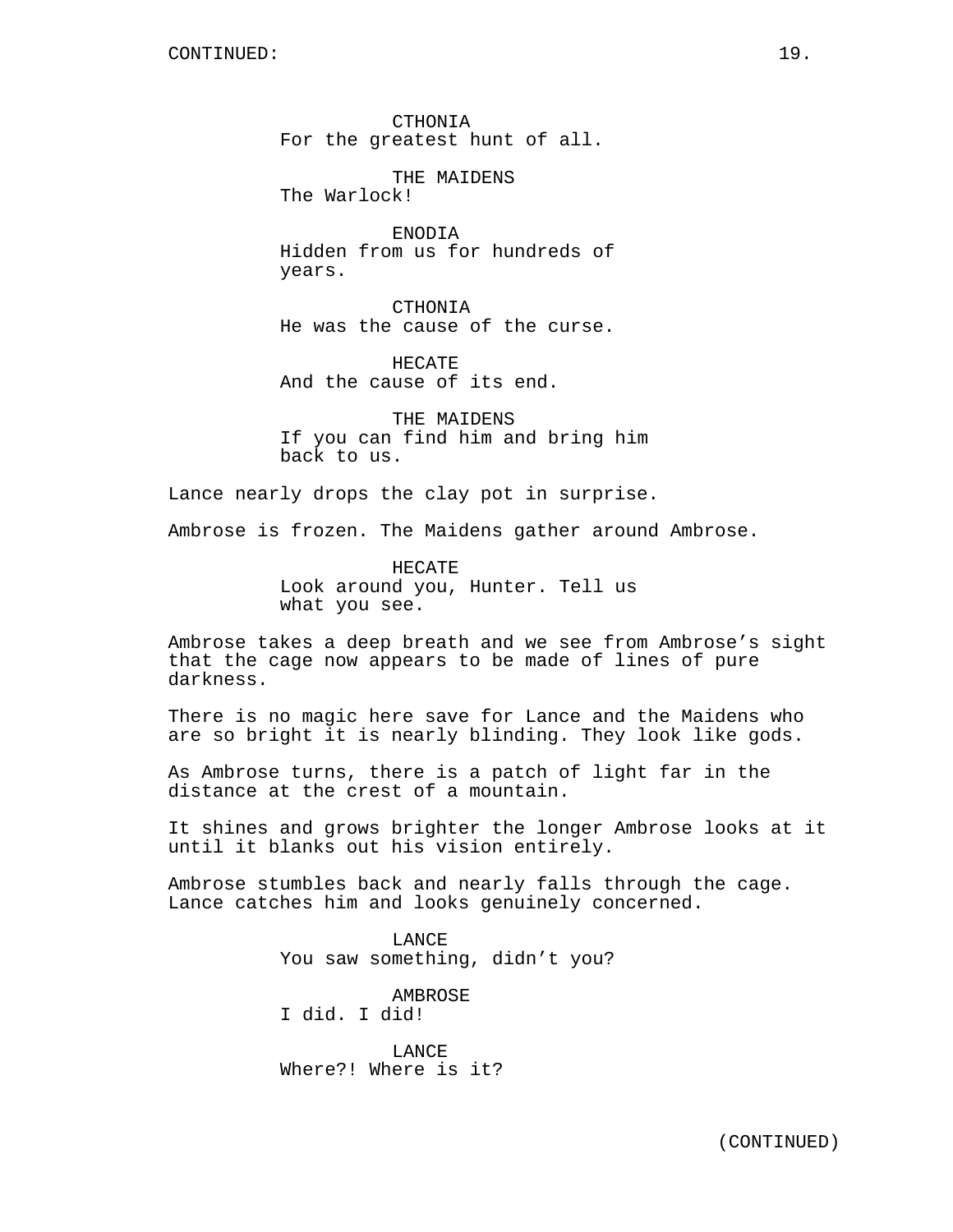CTHONIA For the greatest hunt of all.

THE MAIDENS The Warlock!

ENODIA Hidden from us for hundreds of years.

CTHONIA He was the cause of the curse.

HECATE And the cause of its end.

THE MAIDENS If you can find him and bring him back to us.

Lance nearly drops the clay pot in surprise.

Ambrose is frozen. The Maidens gather around Ambrose.

HECATE Look around you, Hunter. Tell us what you see.

Ambrose takes a deep breath and we see from Ambrose's sight that the cage now appears to be made of lines of pure darkness.

There is no magic here save for Lance and the Maidens who are so bright it is nearly blinding. They look like gods.

As Ambrose turns, there is a patch of light far in the distance at the crest of a mountain.

It shines and grows brighter the longer Ambrose looks at it until it blanks out his vision entirely.

Ambrose stumbles back and nearly falls through the cage. Lance catches him and looks genuinely concerned.

> LANCE You saw something, didn't you?

AMBROSE I did. I did!

LANCE Where?! Where is it?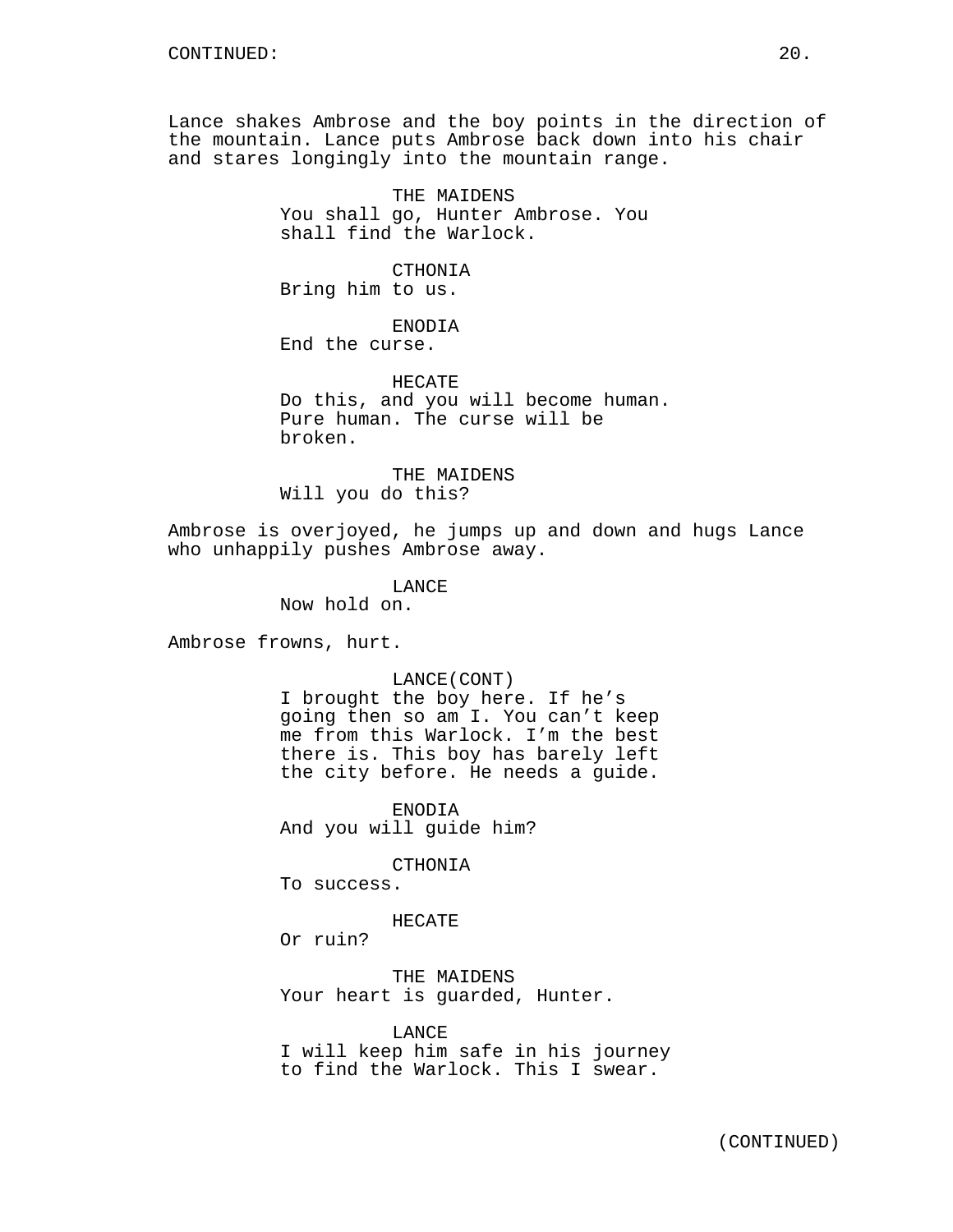Lance shakes Ambrose and the boy points in the direction of the mountain. Lance puts Ambrose back down into his chair and stares longingly into the mountain range.

> THE MAIDENS You shall go, Hunter Ambrose. You shall find the Warlock.

CTHONIA Bring him to us.

ENODIA

End the curse.

HECATE Do this, and you will become human. Pure human. The curse will be broken.

THE MAIDENS Will you do this?

Ambrose is overjoyed, he jumps up and down and hugs Lance who unhappily pushes Ambrose away.

LANCE

Now hold on.

Ambrose frowns, hurt.

## LANCE(CONT)

I brought the boy here. If he's going then so am I. You can't keep me from this Warlock. I'm the best there is. This boy has barely left the city before. He needs a guide.

ENODIA And you will guide him?

CTHONIA

To success.

HECATE

Or ruin?

THE MAIDENS Your heart is guarded, Hunter.

LANCE I will keep him safe in his journey to find the Warlock. This I swear.